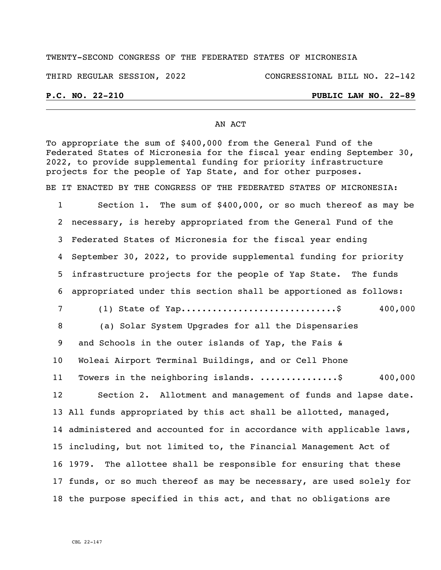## TWENTY-SECOND CONGRESS OF THE FEDERATED STATES OF MICRONESIA

THIRD REGULAR SESSION, 2022 CONGRESSIONAL BILL NO. 22-142

## **P.C. NO. 22-210 PUBLIC LAW NO. 22-89**

### AN ACT

To appropriate the sum of \$400,000 from the General Fund of the Federated States of Micronesia for the fiscal year ending September 30, 2022, to provide supplemental funding for priority infrastructure projects for the people of Yap State, and for other purposes.

BE IT ENACTED BY THE CONGRESS OF THE FEDERATED STATES OF MICRONESIA:

 Section 1. The sum of \$400,000, or so much thereof as may be necessary, is hereby appropriated from the General Fund of the Federated States of Micronesia for the fiscal year ending September 30, 2022, to provide supplemental funding for priority infrastructure projects for the people of Yap State. The funds appropriated under this section shall be apportioned as follows: (1) State of Yap..............................\$ 400,000 8 (a) Solar System Upgrades for all the Dispensaries and Schools in the outer islands of Yap, the Fais & Woleai Airport Terminal Buildings, and or Cell Phone Towers in the neighboring islands. ...............\$ 400,000 Section 2. Allotment and management of funds and lapse date. All funds appropriated by this act shall be allotted, managed,

 administered and accounted for in accordance with applicable laws, including, but not limited to, the Financial Management Act of 1979. The allottee shall be responsible for ensuring that these funds, or so much thereof as may be necessary, are used solely for the purpose specified in this act, and that no obligations are